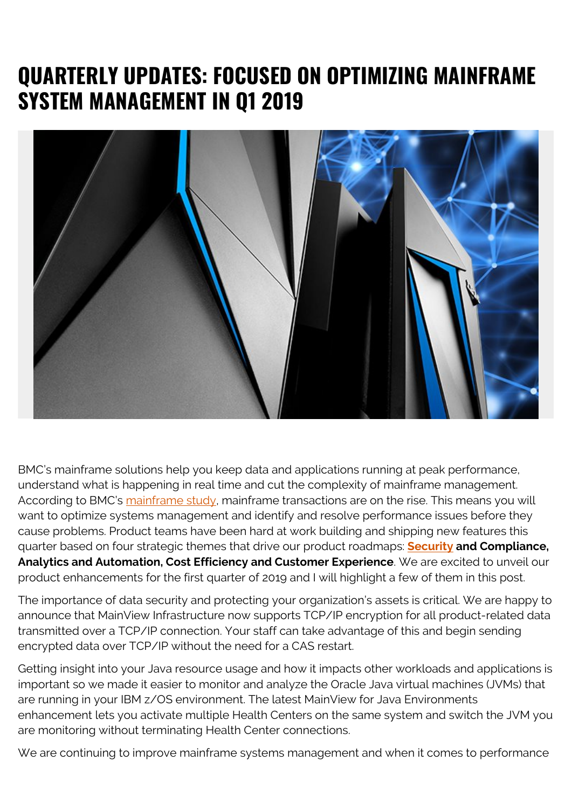## **QUARTERLY UPDATES: FOCUSED ON OPTIMIZING MAINFRAME SYSTEM MANAGEMENT IN Q1 2019**



BMC's mainframe solutions help you keep data and applications running at peak performance, understand what is happening in real time and cut the complexity of mainframe management. According to BMC's [mainframe study](https://blogs.bmc.com/info/mainframe-survey.html), mainframe transactions are on the rise. This means you will want to optimize systems management and identify and resolve performance issues before they cause problems. Product teams have been hard at work building and shipping new features this quarter based on four strategic themes that drive our product roadmaps: **[Security](https://blogs.bmc.com/blogs/security-vulnerability-vs-threat-vs-risk-whats-difference/) and Compliance, Analytics and Automation, Cost Efficiency and Customer Experience**. We are excited to unveil our product enhancements for the first quarter of 2019 and I will highlight a few of them in this post.

The importance of data security and protecting your organization's assets is critical. We are happy to announce that MainView Infrastructure now supports TCP/IP encryption for all product-related data transmitted over a TCP/IP connection. Your staff can take advantage of this and begin sending encrypted data over TCP/IP without the need for a CAS restart.

Getting insight into your Java resource usage and how it impacts other workloads and applications is important so we made it easier to monitor and analyze the Oracle Java virtual machines (JVMs) that are running in your IBM z/OS environment. The latest MainView for Java Environments enhancement lets you activate multiple Health Centers on the same system and switch the JVM you are monitoring without terminating Health Center connections.

We are continuing to improve mainframe systems management and when it comes to performance